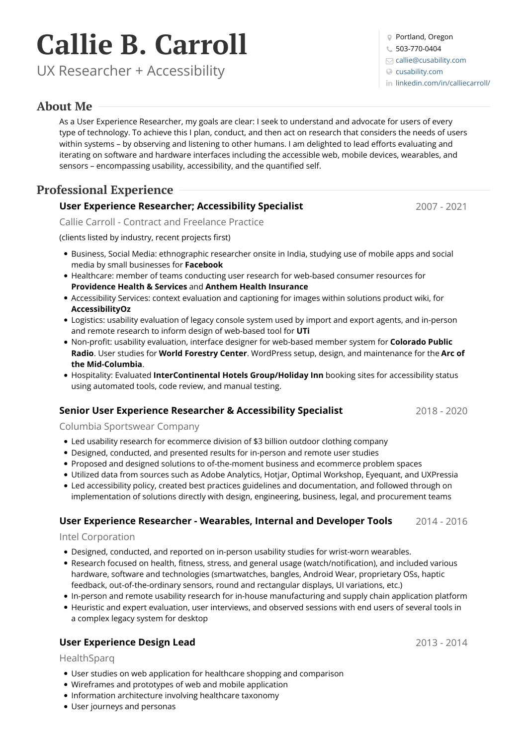# **Callie B. Carroll**

UX Researcher + Accessibility

# **About Me**

As a User Experience Researcher, my goals are clear: I seek to understand and advocate for users of every type of technology. To achieve this I plan, conduct, and then act on research that considers the needs of users within systems – by observing and listening to other humans. I am delighted to lead efforts evaluating and iterating on software and hardware interfaces including the accessible web, mobile devices, wearables, and sensors – encompassing usability, accessibility, and the quantified self.

# **Professional Experience**

# **User Experience Researcher; Accessibility Specialist**

Callie Carroll - Contract and Freelance Practice

(clients listed by industry, recent projects first)

- Business, Social Media: ethnographic researcher onsite in India, studying use of mobile apps and social media by small businesses for **Facebook**
- Healthcare: member of teams conducting user research for web-based consumer resources for **Providence Health & Services** and **Anthem Health Insurance**
- Accessibility Services: context evaluation and captioning for images within solutions product wiki, for **AccessibilityOz**
- Logistics: usability evaluation of legacy console system used by import and export agents, and in-person and remote research to inform design of web-based tool for **UTi**
- Non-profit: usability evaluation, interface designer for web-based member system for **Colorado Public Radio**. User studies for **World Forestry Center**. WordPress setup, design, and maintenance for the **Arc of the Mid-Columbia**.
- Hospitality: Evaluated **InterContinental Hotels Group/Holiday Inn** booking sites for accessibility status using automated tools, code review, and manual testing.

# **Senior User Experience Researcher & Accessibility Specialist**

Columbia Sportswear Company

- Led usability research for ecommerce division of \$3 billion outdoor clothing company
- Designed, conducted, and presented results for in-person and remote user studies
- Proposed and designed solutions to of-the-moment business and ecommerce problem spaces
- Utilized data from sources such as Adobe Analytics, Hotjar, Optimal Workshop, Eyequant, and UXPressia
- Led accessibility policy, created best practices guidelines and documentation, and followed through on implementation ofsolutions directly with design, engineering, business, legal, and procurement teams

#### 2014 - 2016 **User Experience Researcher -Wearables, Internal and Developer Tools**

#### Intel Corporation

- Designed, conducted, and reported on in-person usability studies for wrist-worn wearables.
- Research focused on health, fitness, stress, and general usage (watch/notification), and included various hardware, software and technologies (smartwatches, bangles, Android Wear, proprietary OSs, haptic feedback, out-of-the-ordinary sensors, round and rectangular displays, UI variations, etc.)
- In-person and remote usability research for in-house manufacturing and supply chain application platform
- Heuristic and expert evaluation, user interviews, and observed sessions with end users of several tools in a complex legacy system for desktop

# **User Experience Design Lead**

HealthSparq

- User studies on web application for healthcare shopping and comparison
- Wireframes and prototypes of web and mobile application
- Information architecture involving healthcare taxonomy
- User journeys and personas

Portland, Oregon

503-770-0404

 $\Box$  [callie@cusability.com](mailto:callie@cusability.com)

[cusability.com](http://www.cusability.com)

in [linkedin.com/in/calliecarroll/](https://www.linkedin.com/in/calliecarroll/)

2013 - 2014

2007 - 2021

2018 - 2020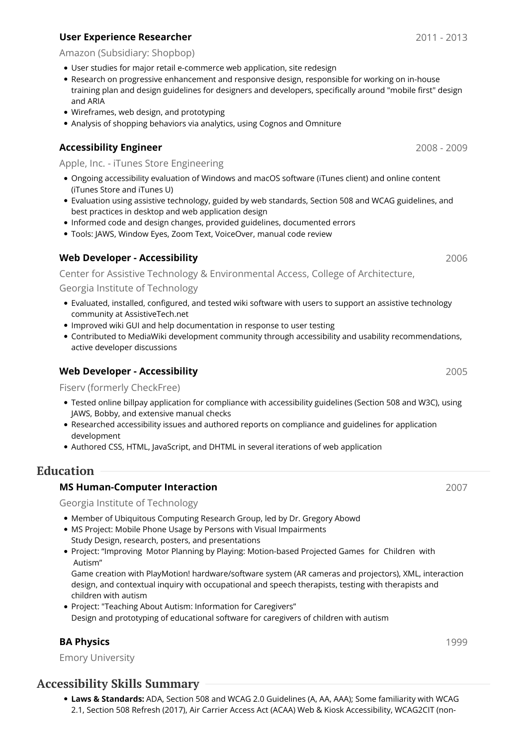### **User Experience Researcher**

#### Amazon (Subsidiary: Shopbop)

- User studies for major retail e-commerce web application, site redesign
- Research on progressive enhancement and responsive design, responsible for working on in-house training plan and design guidelines for designers and developers, specifically around "mobile first" design and ARIA
- Wireframes, web design, and prototyping
- Analysis of shopping behaviors via analytics, using Cognos and Omniture

#### **Accessibility Engineer**

Apple, Inc. - iTunes Store Engineering

- Ongoing accessibility evaluation of Windows and macOS software (iTunes client) and online content (iTunes Store and iTunes U)
- Evaluation using assistive technology, guided by web standards, Section 508 and WCAG guidelines, and best practices in desktop and web application design
- Informed code and design changes, provided guidelines, documented errors
- Tools: JAWS, Window Eyes, Zoom Text, VoiceOver, manual code review

#### **Web Developer - Accessibility**

Center for Assistive Technology & Environmental Access, College of Architecture,

Georgia Institute of Technology

- Evaluated, installed, configured, and tested wiki software with users to support an assistive technology community at AssistiveTech.net
- Improved wiki GUI and help documentation in response to user testing
- Contributed to MediaWiki development community through accessibility and usability recommendations, active developer discussions

#### **Web Developer - Accessibility**

Fiserv (formerly CheckFree)

- Tested online billpay application for compliance with accessibility guidelines (Section 508 and W3C), using JAWS, Bobby, and extensive manual checks
- Researched accessibility issues and authored reports on compliance and guidelines for application development
- Authored CSS, HTML, JavaScript, and DHTML in several iterations of web application

# **Education**

#### **MS Human-Computer Interaction**

Georgia Institute of Technology

- Member of Ubiquitous Computing Research Group, led by Dr. Gregory Abowd
- MS Project: Mobile Phone Usage by Persons with Visual Impairments Study Design, research, posters, and presentations
- Project: "Improving Motor Planning by Playing: Motion-based Projected Games for Children with Autism"

Game creation with PlayMotion! hardware/software system (AR cameras and projectors), XML, interaction design, and contextual inquiry with occupational and speech therapists, testing with therapists and children with autism

Project: "Teaching About Autism: Information for Caregivers" Design and prototyping of educational software for caregivers of children with autism

#### **BA Physics**

Emory University

# **Accessibility Skills Summary**

**Laws & Standards:** ADA, Section 508 and WCAG 2.0 Guidelines (A, AA, AAA); Some familiarity with WCAG 2.1, Section 508 Refresh (2017), Air Carrier Access Act (ACAA) Web & Kiosk Accessibility, WCAG2CIT (non-

2008 - 2009

2006

2005

2007

1999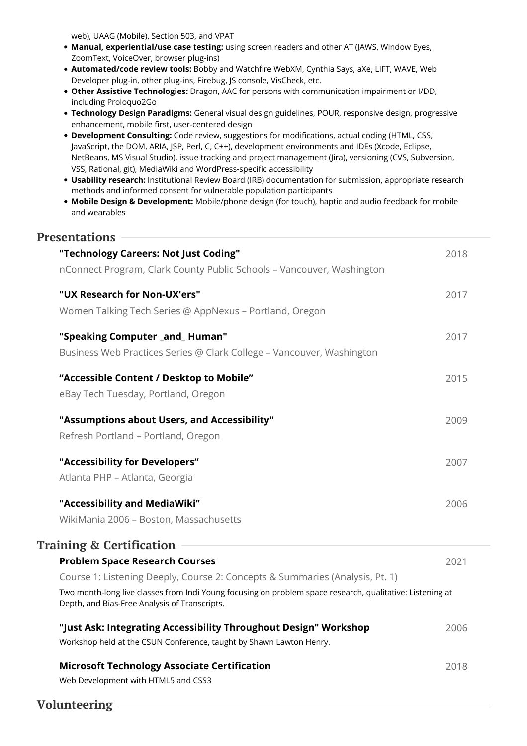web), UAAG (Mobile), Section 503, and VPAT

- **Manual, experiential/use case testing:** using screen readers and other AT (JAWS, Window Eyes, ZoomText, VoiceOver, browser plug-ins)
- **Automated/code review tools:** Bobby and Watchfire WebXM, Cynthia Says, aXe, LIFT, WAVE, Web Developer plug-in, other plug-ins, Firebug, JS console, VisCheck, etc.
- **Other Assistive Technologies:** Dragon, AAC for persons with communication impairment or I/DD, including Proloquo2Go
- **Technology Design Paradigms:** General visual design guidelines, POUR, responsive design, progressive enhancement, mobile first, user-centered design
- **Development Consulting:** Code review, suggestions for modifications, actual coding (HTML, CSS, JavaScript, the DOM, ARIA, JSP, Perl, C, C++), development environments and IDEs (Xcode, Eclipse, NetBeans, MS Visual Studio), issue tracking and project management (Jira), versioning (CVS, Subversion, VSS, Rational, git), MediaWiki and WordPress-specific accessibility
- **Usability research:** Institutional Review Board (IRB) documentation for submission, appropriate research methods and informed consent for vulnerable population participants
- **Mobile Design & Development:** Mobile/phone design (for touch), haptic and audio feedback for mobile and wearables

# 2018 2017 2017 2015 2009 2007 2006 **"Technology Careers: Not Just Coding"** nConnect Program, Clark County Public Schools – Vancouver, Washington **"UX Research for Non-UX'ers"** Women Talking Tech Series @ AppNexus – Portland, Oregon **"Speaking Computer \_and\_ Human"** Business Web Practices Series @ Clark College – Vancouver, Washington **"Accessible Content / Desktop to Mobile"** eBay Tech Tuesday, Portland, Oregon **"Assumptions about Users, and Accessibility"** Refresh Portland – Portland, Oregon **"Accessibility for Developers"** Atlanta PHP – Atlanta, Georgia **"Accessibility and MediaWiki"** WikiMania 2006 – Boston, Massachusetts 2021 2006 2018 **Problem Space Research Courses** Course 1: Listening Deeply, Course 2: Concepts & Summaries (Analysis, Pt. 1) Two month-long live classes from Indi Young focusing on problem space research, qualitative: Listening at Depth, and Bias-Free Analysis of Transcripts. **"Just Ask: Integrating Accessibility Throughout Design" Workshop** Workshop held at the CSUN Conference, taught by Shawn Lawton Henry. **Microsoft Technology Associate Certification** Web Development with HTML5 and CSS3 **Presentations Training & Certification**

# **Volunteering**